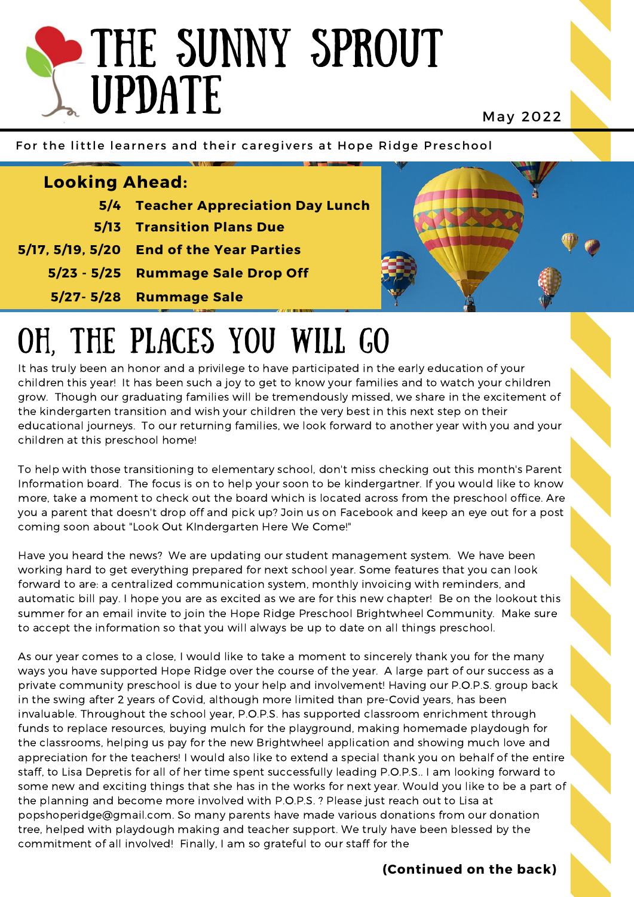## THE SUNNY SPROUT UPDATE

May 2022

For the little learners and their caregivers at Hope Ridge Preschool

| <b>Looking Ahead:</b> |                                          |  |
|-----------------------|------------------------------------------|--|
|                       | 5/4 Teacher Appreciation Day Lunch       |  |
|                       | <b>5/13 Transition Plans Due</b>         |  |
|                       | 5/17, 5/19, 5/20 End of the Year Parties |  |
|                       | 5/23 - 5/25 Rummage Sale Drop Off        |  |
|                       | 5/27-5/28 Rummage Sale                   |  |
|                       |                                          |  |

## OH, THE PLACES YOU WILL GO

It has truly been an honor and a privilege to have participated in the early education of your children this year! It has been such a joy to get to know your families and to watch your children grow. Though our graduating families will be tremendously missed, we share in the excitement of the kindergarten transition and wish your children the very best in this next step on their educational journeys. To our returning families, we look forward to another year with you and your children at this preschool home!

To help with those transitioning to elementary school, don't miss checking out this month's Parent Information board. The focus is on to help your soon to be kindergartner. If you would like to know more, take a moment to check out the board which is located across from the preschool office. Are you a parent that doesn't drop off and pick up? Join us on Facebook and keep an eye out for a post coming soon about "Look Out KIndergarten Here We Come!"

Have you heard the news? We are updating our student management system. We have been working hard to get everything prepared for next school year. Some features that you can look forward to are: a centralized communication system, monthly invoicing with reminders, and automatic bill pay. I hope you are as excited as we are for this new chapter! Be on the lookout this summer for an email invite to join the Hope Ridge Preschool Brightwheel Community. Make sure to accept the information so that you will always be up to date on all things preschool.

As our year comes to a close, I would like to take a moment to sincerely thank you for the many ways you have supported Hope Ridge over the course of the year. A large part of our success as a private community preschool is due to your help and involvement! Having our P.O.P.S. group back in the swing after 2 years of Covid, although more limited than pre-Covid years, has been invaluable. Throughout the school year, P.O.P.S. has supported classroom enrichment through funds to replace resources, buying mulch for the playground, making homemade playdough for the classrooms, helping us pay for the new Brightwheel application and showing much love and appreciation for the teachers! I would also like to extend a special thank you on behalf of the entire staff, to Lisa Depretis for all of her time spent successfully leading P.O.P.S.. I am looking forward to some new and exciting things that she has in the works for next year. Would you like to be a part of the planning and become more involved with P.O.P.S. ? Please just reach out to Lisa at popshoperidge@gmail.com. So many parents have made various donations from our donation tree, helped with playdough making and teacher support. We truly have been blessed by the commitment of all involved! Finally, I am so grateful to our staff for the

**(Continued on the back)**